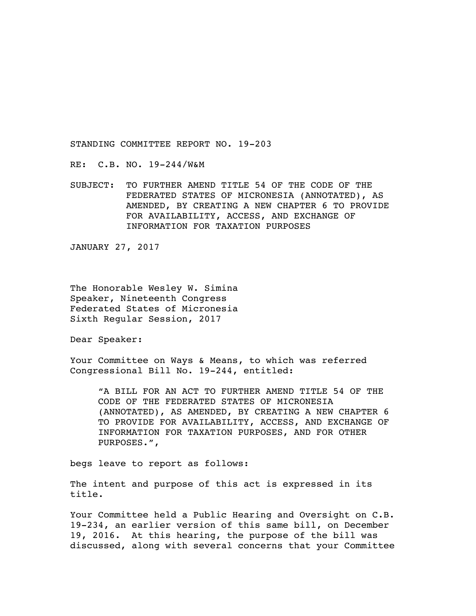RE: C.B. NO. 19-244/W&M

SUBJECT: TO FURTHER AMEND TITLE 54 OF THE CODE OF THE FEDERATED STATES OF MICRONESIA (ANNOTATED), AS AMENDED, BY CREATING A NEW CHAPTER 6 TO PROVIDE FOR AVAILABILITY, ACCESS, AND EXCHANGE OF INFORMATION FOR TAXATION PURPOSES

JANUARY 27, 2017

The Honorable Wesley W. Simina Speaker, Nineteenth Congress Federated States of Micronesia Sixth Regular Session, 2017

Dear Speaker:

Your Committee on Ways & Means, to which was referred Congressional Bill No. 19-244, entitled:

"A BILL FOR AN ACT TO FURTHER AMEND TITLE 54 OF THE CODE OF THE FEDERATED STATES OF MICRONESIA (ANNOTATED), AS AMENDED, BY CREATING A NEW CHAPTER 6 TO PROVIDE FOR AVAILABILITY, ACCESS, AND EXCHANGE OF INFORMATION FOR TAXATION PURPOSES, AND FOR OTHER PURPOSES.",

begs leave to report as follows:

The intent and purpose of this act is expressed in its title.

Your Committee held a Public Hearing and Oversight on C.B. 19-234, an earlier version of this same bill, on December 19, 2016. At this hearing, the purpose of the bill was discussed, along with several concerns that your Committee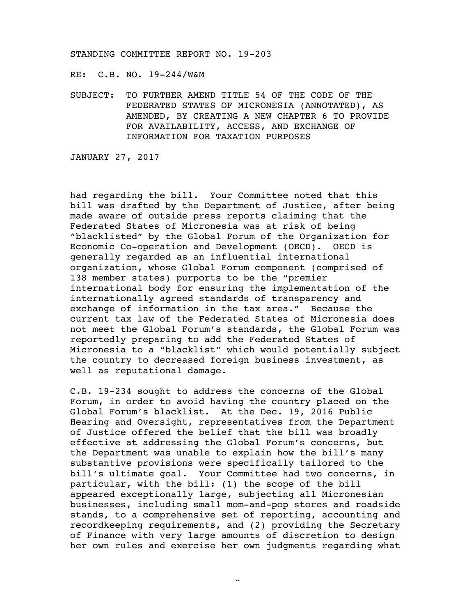RE: C.B. NO. 19-244/W&M

SUBJECT: TO FURTHER AMEND TITLE 54 OF THE CODE OF THE FEDERATED STATES OF MICRONESIA (ANNOTATED), AS AMENDED, BY CREATING A NEW CHAPTER 6 TO PROVIDE FOR AVAILABILITY, ACCESS, AND EXCHANGE OF INFORMATION FOR TAXATION PURPOSES

JANUARY 27, 2017

had regarding the bill. Your Committee noted that this bill was drafted by the Department of Justice, after being made aware of outside press reports claiming that the Federated States of Micronesia was at risk of being "blacklisted" by the Global Forum of the Organization for Economic Co-operation and Development (OECD). OECD is generally regarded as an influential international organization, whose Global Forum component (comprised of 138 member states) purports to be the "premier international body for ensuring the implementation of the internationally agreed standards of transparency and exchange of information in the tax area." Because the current tax law of the Federated States of Micronesia does not meet the Global Forum's standards, the Global Forum was reportedly preparing to add the Federated States of Micronesia to a "blacklist" which would potentially subject the country to decreased foreign business investment, as well as reputational damage.

C.B. 19-234 sought to address the concerns of the Global Forum, in order to avoid having the country placed on the Global Forum's blacklist. At the Dec. 19, 2016 Public Hearing and Oversight, representatives from the Department of Justice offered the belief that the bill was broadly effective at addressing the Global Forum's concerns, but the Department was unable to explain how the bill's many substantive provisions were specifically tailored to the bill's ultimate goal. Your Committee had two concerns, in particular, with the bill: (1) the scope of the bill appeared exceptionally large, subjecting all Micronesian businesses, including small mom-and-pop stores and roadside stands, to a comprehensive set of reporting, accounting and recordkeeping requirements, and (2) providing the Secretary of Finance with very large amounts of discretion to design her own rules and exercise her own judgments regarding what

 $\ddot{\phantom{1}}$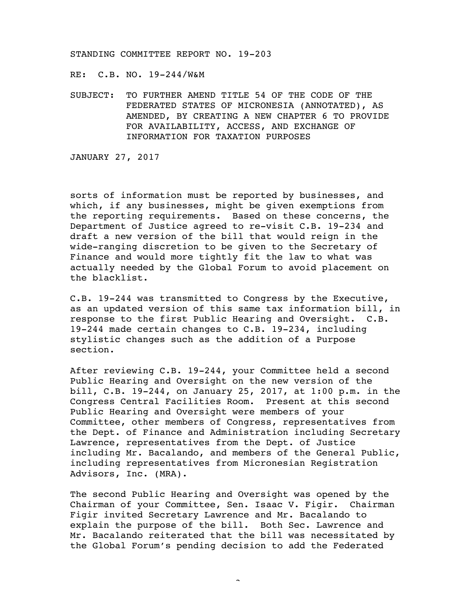RE: C.B. NO. 19-244/W&M

SUBJECT: TO FURTHER AMEND TITLE 54 OF THE CODE OF THE FEDERATED STATES OF MICRONESIA (ANNOTATED), AS AMENDED, BY CREATING A NEW CHAPTER 6 TO PROVIDE FOR AVAILABILITY, ACCESS, AND EXCHANGE OF INFORMATION FOR TAXATION PURPOSES

JANUARY 27, 2017

sorts of information must be reported by businesses, and which, if any businesses, might be given exemptions from the reporting requirements. Based on these concerns, the Department of Justice agreed to re-visit C.B. 19-234 and draft a new version of the bill that would reign in the wide-ranging discretion to be given to the Secretary of Finance and would more tightly fit the law to what was actually needed by the Global Forum to avoid placement on the blacklist.

C.B. 19-244 was transmitted to Congress by the Executive, as an updated version of this same tax information bill, in response to the first Public Hearing and Oversight. C.B. 19-244 made certain changes to C.B. 19-234, including stylistic changes such as the addition of a Purpose section.

After reviewing C.B. 19-244, your Committee held a second Public Hearing and Oversight on the new version of the bill, C.B. 19-244, on January 25, 2017, at 1:00 p.m. in the Congress Central Facilities Room. Present at this second Public Hearing and Oversight were members of your Committee, other members of Congress, representatives from the Dept. of Finance and Administration including Secretary Lawrence, representatives from the Dept. of Justice including Mr. Bacalando, and members of the General Public, including representatives from Micronesian Registration Advisors, Inc. (MRA).

The second Public Hearing and Oversight was opened by the Chairman of your Committee, Sen. Isaac V. Figir. Chairman Figir invited Secretary Lawrence and Mr. Bacalando to explain the purpose of the bill. Both Sec. Lawrence and Mr. Bacalando reiterated that the bill was necessitated by the Global Forum's pending decision to add the Federated

 $\ddot{\phantom{1}}$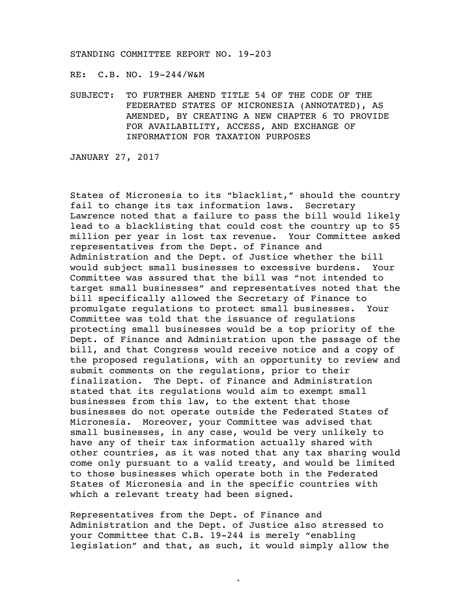RE: C.B. NO. 19-244/W&M

SUBJECT: TO FURTHER AMEND TITLE 54 OF THE CODE OF THE FEDERATED STATES OF MICRONESIA (ANNOTATED), AS AMENDED, BY CREATING A NEW CHAPTER 6 TO PROVIDE FOR AVAILABILITY, ACCESS, AND EXCHANGE OF INFORMATION FOR TAXATION PURPOSES

JANUARY 27, 2017

States of Micronesia to its "blacklist," should the country fail to change its tax information laws. Secretary Lawrence noted that a failure to pass the bill would likely lead to a blacklisting that could cost the country up to \$5 million per year in lost tax revenue. Your Committee asked representatives from the Dept. of Finance and Administration and the Dept. of Justice whether the bill would subject small businesses to excessive burdens. Your Committee was assured that the bill was "not intended to target small businesses" and representatives noted that the bill specifically allowed the Secretary of Finance to promulgate regulations to protect small businesses. Your Committee was told that the issuance of regulations protecting small businesses would be a top priority of the Dept. of Finance and Administration upon the passage of the bill, and that Congress would receive notice and a copy of the proposed regulations, with an opportunity to review and submit comments on the regulations, prior to their finalization. The Dept. of Finance and Administration stated that its regulations would aim to exempt small businesses from this law, to the extent that those businesses do not operate outside the Federated States of Micronesia. Moreover, your Committee was advised that small businesses, in any case, would be very unlikely to have any of their tax information actually shared with other countries, as it was noted that any tax sharing would come only pursuant to a valid treaty, and would be limited to those businesses which operate both in the Federated States of Micronesia and in the specific countries with which a relevant treaty had been signed.

Representatives from the Dept. of Finance and Administration and the Dept. of Justice also stressed to your Committee that C.B. 19-244 is merely "enabling legislation" and that, as such, it would simply allow the

 $\ddot{\phantom{1}}$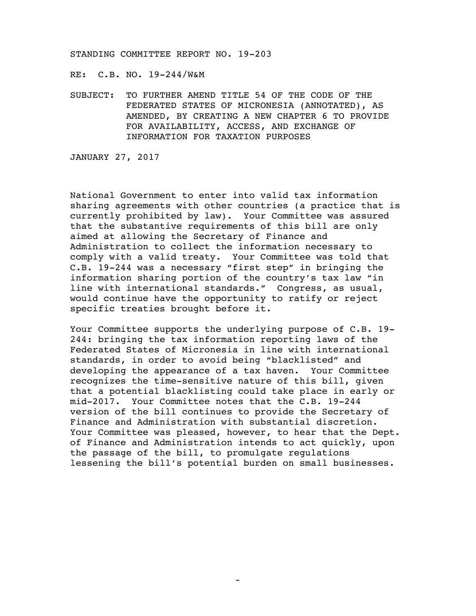RE: C.B. NO. 19-244/W&M

SUBJECT: TO FURTHER AMEND TITLE 54 OF THE CODE OF THE FEDERATED STATES OF MICRONESIA (ANNOTATED), AS AMENDED, BY CREATING A NEW CHAPTER 6 TO PROVIDE FOR AVAILABILITY, ACCESS, AND EXCHANGE OF INFORMATION FOR TAXATION PURPOSES

JANUARY 27, 2017

National Government to enter into valid tax information sharing agreements with other countries (a practice that is currently prohibited by law). Your Committee was assured that the substantive requirements of this bill are only aimed at allowing the Secretary of Finance and Administration to collect the information necessary to comply with a valid treaty. Your Committee was told that C.B. 19-244 was a necessary "first step" in bringing the information sharing portion of the country's tax law "in line with international standards." Congress, as usual, would continue have the opportunity to ratify or reject specific treaties brought before it.

Your Committee supports the underlying purpose of C.B. 19- 244: bringing the tax information reporting laws of the Federated States of Micronesia in line with international standards, in order to avoid being "blacklisted" and developing the appearance of a tax haven. Your Committee recognizes the time-sensitive nature of this bill, given that a potential blacklisting could take place in early or mid-2017. Your Committee notes that the C.B. 19-244 version of the bill continues to provide the Secretary of Finance and Administration with substantial discretion. Your Committee was pleased, however, to hear that the Dept. of Finance and Administration intends to act quickly, upon the passage of the bill, to promulgate regulations lessening the bill's potential burden on small businesses.

 $\overline{a}$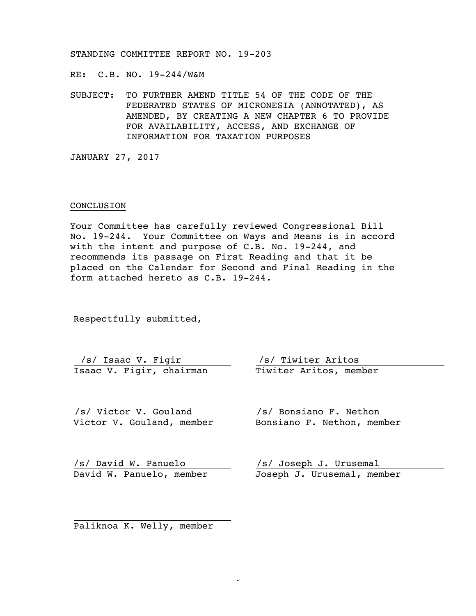RE: C.B. NO. 19-244/W&M

SUBJECT: TO FURTHER AMEND TITLE 54 OF THE CODE OF THE FEDERATED STATES OF MICRONESIA (ANNOTATED), AS AMENDED, BY CREATING A NEW CHAPTER 6 TO PROVIDE FOR AVAILABILITY, ACCESS, AND EXCHANGE OF INFORMATION FOR TAXATION PURPOSES

JANUARY 27, 2017

## CONCLUSION

Your Committee has carefully reviewed Congressional Bill No. 19-244. Your Committee on Ways and Means is in accord with the intent and purpose of C.B. No. 19-244, and recommends its passage on First Reading and that it be placed on the Calendar for Second and Final Reading in the form attached hereto as C.B. 19-244.

6

Respectfully submitted,

/s/ Isaac V. Figir /s/ Tiwiter Aritos Isaac V. Figir, chairman

/s/ /s/ Victor V. Gouland Victor V. Gouland, member Bonsiano F. Nethon, member

/s/ David W. Panuelo David W. Panuelo, member

Tiwiter Aritos, member

/s/ /s/ Bonsiano F. Nethon

/s/ /s/ Joseph J. Urusemal Joseph J. Urusemal, member

Paliknoa K. Welly, member